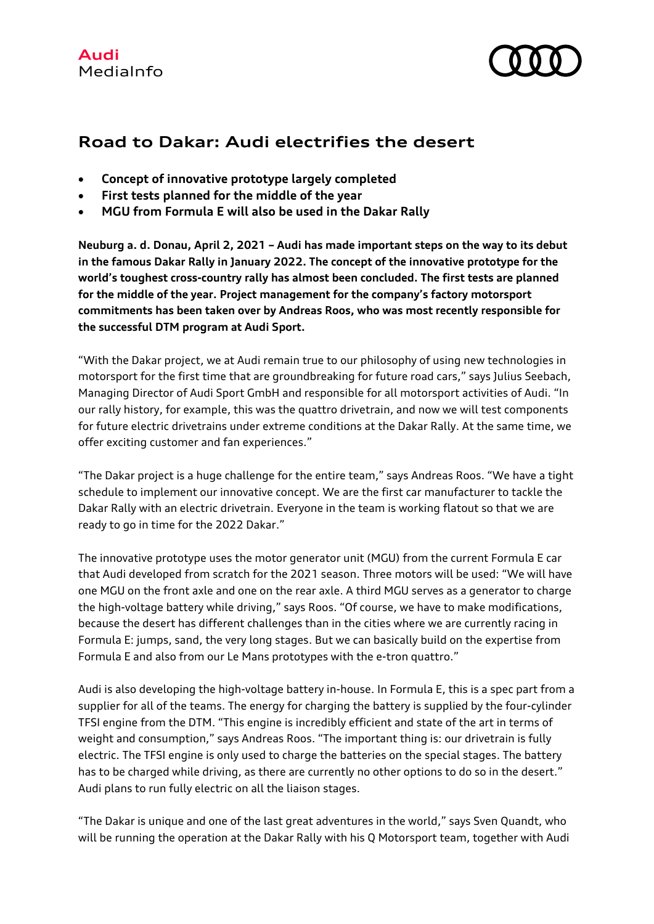

## **Road to Dakar: Audi electrifies the desert**

- **Concept of innovative prototype largely completed**
- **First tests planned for the middle of the year**
- **MGU from Formula E will also be used in the Dakar Rally**

**Neuburg a. d. Donau, April 2, 2021 – Audi has made important steps on the way to its debut in the famous Dakar Rally in January 2022. The concept of the innovative prototype for the world's toughest cross-country rally has almost been concluded. The first tests are planned for the middle of the year. Project management for the company's factory motorsport commitments has been taken over by Andreas Roos, who was most recently responsible for the successful DTM program at Audi Sport.**

"With the Dakar project, we at Audi remain true to our philosophy of using new technologies in motorsport for the first time that are groundbreaking for future road cars," says Julius Seebach, Managing Director of Audi Sport GmbH and responsible for all motorsport activities of Audi. "In our rally history, for example, this was the quattro drivetrain, and now we will test components for future electric drivetrains under extreme conditions at the Dakar Rally. At the same time, we offer exciting customer and fan experiences."

"The Dakar project is a huge challenge for the entire team," says Andreas Roos. "We have a tight schedule to implement our innovative concept. We are the first car manufacturer to tackle the Dakar Rally with an electric drivetrain. Everyone in the team is working flatout so that we are ready to go in time for the 2022 Dakar."

The innovative prototype uses the motor generator unit (MGU) from the current Formula E car that Audi developed from scratch for the 2021 season. Three motors will be used: "We will have one MGU on the front axle and one on the rear axle. A third MGU serves as a generator to charge the high-voltage battery while driving," says Roos. "Of course, we have to make modifications, because the desert has different challenges than in the cities where we are currently racing in Formula E: jumps, sand, the very long stages. But we can basically build on the expertise from Formula E and also from our Le Mans prototypes with the e-tron quattro."

Audi is also developing the high-voltage battery in-house. In Formula E, this is a spec part from a supplier for all of the teams. The energy for charging the battery is supplied by the four-cylinder TFSI engine from the DTM. "This engine is incredibly efficient and state of the art in terms of weight and consumption," says Andreas Roos. "The important thing is: our drivetrain is fully electric. The TFSI engine is only used to charge the batteries on the special stages. The battery has to be charged while driving, as there are currently no other options to do so in the desert." Audi plans to run fully electric on all the liaison stages.

"The Dakar is unique and one of the last great adventures in the world," says Sven Quandt, who will be running the operation at the Dakar Rally with his Q Motorsport team, together with Audi